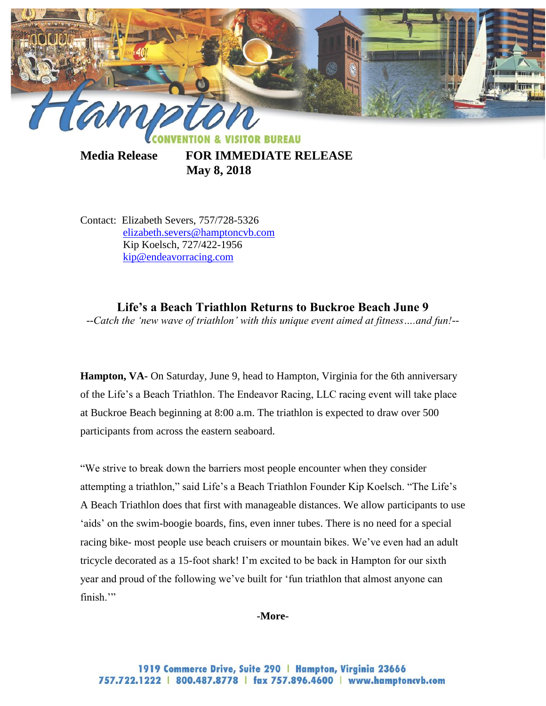

**Media Release FOR IMMEDIATE RELEASE May 8, 2018**

Contact: Elizabeth Severs, 757/728-5326 [elizabeth.severs@hamptoncvb.com](mailto:elizabeth.severs@hamptoncvb.com) Kip Koelsch, 727/422-1956 [kip@endeavorracing.com](mailto:kip@endeavorracing.com)

**Life's a Beach Triathlon Returns to Buckroe Beach June 9** *--Catch the 'new wave of triathlon' with this unique event aimed at fitness….and fun!--*

**Hampton, VA-** On Saturday, June 9, head to Hampton, Virginia for the 6th anniversary of the Life's a Beach Triathlon. The Endeavor Racing, LLC racing event will take place at Buckroe Beach beginning at 8:00 a.m. The triathlon is expected to draw over 500 participants from across the eastern seaboard.

"We strive to break down the barriers most people encounter when they consider attempting a triathlon," said Life's a Beach Triathlon Founder Kip Koelsch. "The Life's A Beach Triathlon does that first with manageable distances. We allow participants to use 'aids' on the swim-boogie boards, fins, even inner tubes. There is no need for a special racing bike- most people use beach cruisers or mountain bikes. We've even had an adult tricycle decorated as a 15-foot shark! I'm excited to be back in Hampton for our sixth year and proud of the following we've built for 'fun triathlon that almost anyone can finish."

### **-More-**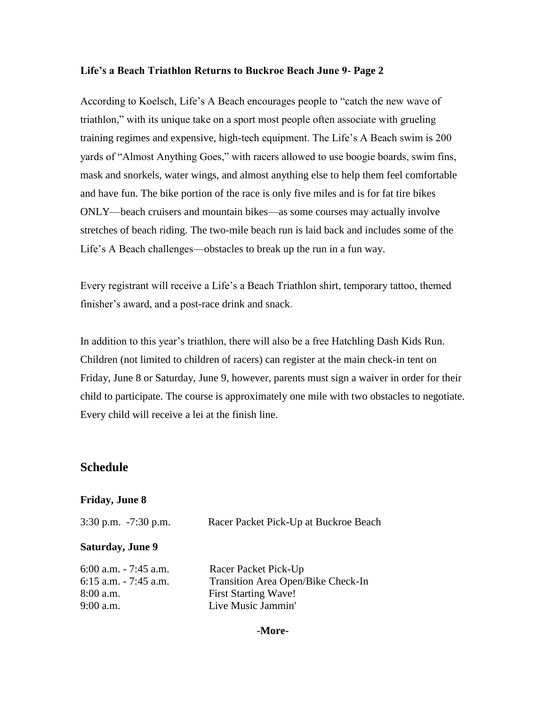## **Life's a Beach Triathlon Returns to Buckroe Beach June 9- Page 2**

According to Koelsch, Life's A Beach encourages people to "catch the new wave of triathlon," with its unique take on a sport most people often associate with grueling training regimes and expensive, high-tech equipment. The Life's A Beach swim is 200 yards of "Almost Anything Goes," with racers allowed to use boogie boards, swim fins, mask and snorkels, water wings, and almost anything else to help them feel comfortable and have fun. The bike portion of the race is only five miles and is for fat tire bikes ONLY—beach cruisers and mountain bikes—as some courses may actually involve stretches of beach riding. The two-mile beach run is laid back and includes some of the Life's A Beach challenges—obstacles to break up the run in a fun way.

Every registrant will receive a Life's a Beach Triathlon shirt, temporary tattoo, themed finisher's award, and a post-race drink and snack.

In addition to this year's triathlon, there will also be a free Hatchling Dash Kids Run. Children (not limited to children of racers) can register at the main check-in tent on Friday, June 8 or Saturday, June 9, however, parents must sign a waiver in order for their child to participate. The course is approximately one mile with two obstacles to negotiate. Every child will receive a lei at the finish line.

# **Schedule**

## **Friday, June 8**

| $3:30$ p.m. $-7:30$ p.m. | Racer Packet Pick-Up at Buckroe Beach |
|--------------------------|---------------------------------------|
| <b>Saturday, June 9</b>  |                                       |
| $6:00$ a.m. $-7:45$ a.m. | Racer Packet Pick-Up                  |
| $6:15$ a.m. $-7:45$ a.m. | Transition Area Open/Bike Check-In    |
| $8:00$ a.m.              | <b>First Starting Wave!</b>           |
| $9:00$ a.m.              | Live Music Jammin'                    |

### **-More-**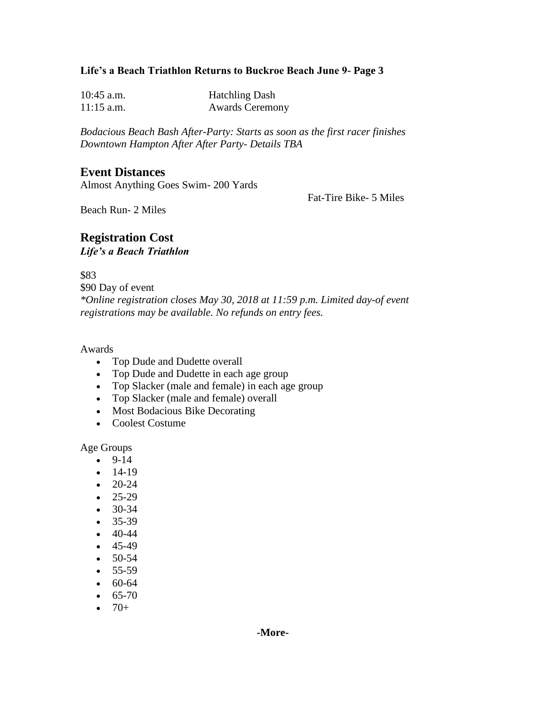## **Life's a Beach Triathlon Returns to Buckroe Beach June 9- Page 3**

| $10:45$ a.m. | <b>Hatchling Dash</b>  |
|--------------|------------------------|
| $11:15$ a.m. | <b>Awards Ceremony</b> |

*Bodacious Beach Bash After-Party: Starts as soon as the first racer finishes Downtown Hampton After After Party- Details TBA*

# **Event Distances**

Almost Anything Goes Swim- 200 Yards

Fat-Tire Bike- 5 Miles

Beach Run- 2 Miles

## **Registration Cost** *Life's a Beach Triathlon*

\$83 \$90 Day of event *\*Online registration closes May 30, 2018 at 11:59 p.m. Limited day-of event registrations may be available. No refunds on entry fees.*

### Awards

- Top Dude and Dudette overall
- Top Dude and Dudette in each age group
- Top Slacker (male and female) in each age group
- Top Slacker (male and female) overall
- Most Bodacious Bike Decorating
- Coolest Costume

Age Groups

- $-9-14$
- $-14-19$
- $\bullet$  20-24
- $-25-29$
- $-30-34$
- $-35-39$
- $-40-44$
- $-45-49$
- $-50-54$
- $-55-59$
- $60-64$
- $65-70$
- $-70+$
- 

**-More-**